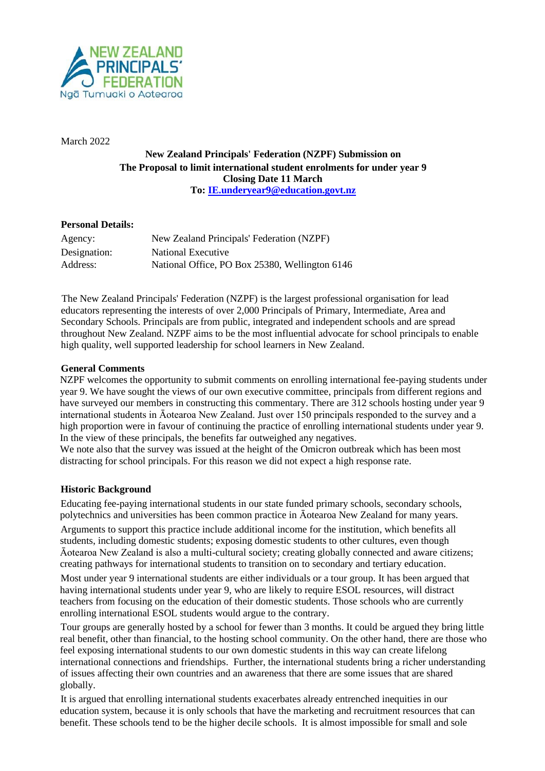

March 2022

# **New Zealand Principals' Federation (NZPF) Submission on The Proposal to limit international student enrolments for under year 9 Closing Date 11 March To: [IE.underyear9@education.govt.nz](mailto:IE.underyear9@education.govt.nz)**

## **Personal Details:**

| Agency:      | New Zealand Principals' Federation (NZPF)      |
|--------------|------------------------------------------------|
| Designation: | National Executive                             |
| Address:     | National Office, PO Box 25380, Wellington 6146 |

The New Zealand Principals' Federation (NZPF) is the largest professional organisation for lead educators representing the interests of over 2,000 Principals of Primary, Intermediate, Area and Secondary Schools. Principals are from public, integrated and independent schools and are spread throughout New Zealand. NZPF aims to be the most influential advocate for school principals to enable high quality, well supported leadership for school learners in New Zealand.

## **General Comments**

NZPF welcomes the opportunity to submit comments on enrolling international fee-paying students under year 9. We have sought the views of our own executive committee, principals from different regions and have surveyed our members in constructing this commentary. There are 312 schools hosting under year 9 international students in Āotearoa New Zealand. Just over 150 principals responded to the survey and a high proportion were in favour of continuing the practice of enrolling international students under year 9. In the view of these principals, the benefits far outweighed any negatives.

We note also that the survey was issued at the height of the Omicron outbreak which has been most distracting for school principals. For this reason we did not expect a high response rate.

# **Historic Background**

Educating fee-paying international students in our state funded primary schools, secondary schools, polytechnics and universities has been common practice in Āotearoa New Zealand for many years.

Arguments to support this practice include additional income for the institution, which benefits all students, including domestic students; exposing domestic students to other cultures, even though Āotearoa New Zealand is also a multi-cultural society; creating globally connected and aware citizens; creating pathways for international students to transition on to secondary and tertiary education.

Most under year 9 international students are either individuals or a tour group. It has been argued that having international students under year 9, who are likely to require ESOL resources, will distract teachers from focusing on the education of their domestic students. Those schools who are currently enrolling international ESOL students would argue to the contrary.

Tour groups are generally hosted by a school for fewer than 3 months. It could be argued they bring little real benefit, other than financial, to the hosting school community. On the other hand, there are those who feel exposing international students to our own domestic students in this way can create lifelong international connections and friendships. Further, the international students bring a richer understanding of issues affecting their own countries and an awareness that there are some issues that are shared globally.

It is argued that enrolling international students exacerbates already entrenched inequities in our education system, because it is only schools that have the marketing and recruitment resources that can benefit. These schools tend to be the higher decile schools. It is almost impossible for small and sole